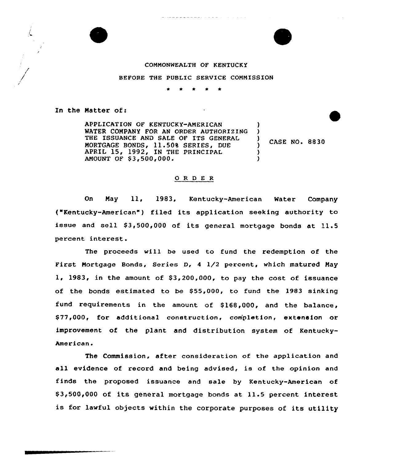



## COMMONWEALTH OF KENTUCKY

BEFORE THE PUBLIC SERVICE COMMISSION

In the Matter of:

APPLICATION OF KENTUCKY-AMERICAN MATER COMPANY FOR AN ORDER AUTHORIZING THE ISSUANCE AND SALE OF ITS GENERAL MORTGAGE BONDS, 11.50% SERIES, DUE APRIL 15, 1992, IN THE PRINCIPAL AMOUNT OF \$3,500,000.

CASE NO. 8830

) )

) )

## 0 <sup>R</sup> <sup>D</sup> <sup>E</sup> <sup>R</sup>

On Nay ll, 1983, Kentucky-American Mater Company ("Kentucky-American" ) filed its application seeking authority to issue and sell \$3,500,000 of its general mortgage bonds at 11.5 percent interest.

The proceeds will be used to fund the redemption of the First Mortgage Bonds, Series D, <sup>4</sup> 1/2 percent, which matured May  $1, 1983,$  in the amount of \$3,200,000, to pay the cost of issuance of the bonds estimated to be \$55,000, to fund the 1983 sinking fund requirements in the amount of \$168,000, and the balance, \$77,000, for additional construction, completion, extension or improvement of the plant and distribution system of Kentucky-American.

The Commission, after consideration of the application and all evidence of record and being advised, is of the opinion and finds the proposed issuance and sale by Kentucky-American of \$ 3,500,000 of its general mortgage bonds at 11.5 percent interest is for lawful objects within the corporate purposes of its utility